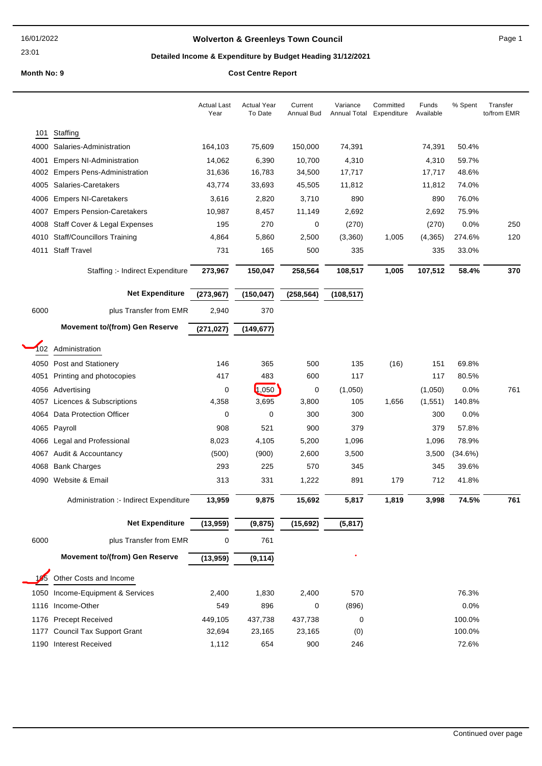23:01

# Wolverton & Greenleys Town Council **Access 19 and 20 and 20 and 20 and 20 and 20 and 20 and 20 and 20 and 20 and 20 and 20 and 20 and 20 and 20 and 20 and 20 and 20 and 20 and 20 and 20 and 20 and 20 and 20 and 20 and 20 a**

# Detailed Income & Expenditure by Budget Heading 31/12/2021

|      |                                        | <b>Actual Last</b><br>Year | <b>Actual Year</b><br>To Date | Current<br>Annual Bud | Variance<br>Annual Total | Committed<br>Expenditure | Funds<br>Available | % Spent | Transfer<br>to/from EMR |
|------|----------------------------------------|----------------------------|-------------------------------|-----------------------|--------------------------|--------------------------|--------------------|---------|-------------------------|
| 101  | Staffing                               |                            |                               |                       |                          |                          |                    |         |                         |
| 4000 | Salaries-Administration                | 164,103                    | 75,609                        | 150,000               | 74,391                   |                          | 74,391             | 50.4%   |                         |
| 4001 | <b>Empers NI-Administration</b>        | 14,062                     | 6,390                         | 10,700                | 4,310                    |                          | 4,310              | 59.7%   |                         |
| 4002 | <b>Empers Pens-Administration</b>      | 31,636                     | 16,783                        | 34,500                | 17,717                   |                          | 17,717             | 48.6%   |                         |
| 4005 | Salaries-Caretakers                    | 43,774                     | 33,693                        | 45,505                | 11,812                   |                          | 11,812             | 74.0%   |                         |
| 4006 | <b>Empers NI-Caretakers</b>            | 3,616                      | 2,820                         | 3,710                 | 890                      |                          | 890                | 76.0%   |                         |
| 4007 | <b>Empers Pension-Caretakers</b>       | 10,987                     | 8,457                         | 11,149                | 2,692                    |                          | 2,692              | 75.9%   |                         |
| 4008 | Staff Cover & Legal Expenses           | 195                        | 270                           | 0                     | (270)                    |                          | (270)              | 0.0%    | 250                     |
| 4010 | <b>Staff/Councillors Training</b>      | 4,864                      | 5,860                         | 2,500                 | (3,360)                  | 1,005                    | (4,365)            | 274.6%  | 120                     |
| 4011 | <b>Staff Travel</b>                    | 731                        | 165                           | 500                   | 335                      |                          | 335                | 33.0%   |                         |
|      | Staffing :- Indirect Expenditure       | 273,967                    | 150,047                       | 258,564               | 108,517                  | 1,005                    | 107,512            | 58.4%   | 370                     |
|      | Net Expenditure                        | (273, 967)                 | (150, 047)                    | (258, 564)            | (108, 517)               |                          |                    |         |                         |
| 6000 | plus Transfer from EMR                 | 2,940                      | 370                           |                       |                          |                          |                    |         |                         |
|      | Movement to/(from) Gen Reserve         | (271, 027)                 | (149, 677)                    |                       |                          |                          |                    |         |                         |
| 102  | Administration                         |                            |                               |                       |                          |                          |                    |         |                         |
| 4050 | Post and Stationery                    | 146                        | 365                           | 500                   | 135                      | (16)                     | 151                | 69.8%   |                         |
| 4051 | Printing and photocopies               | 417                        | 483                           | 600                   | 117                      |                          | 117                | 80.5%   |                         |
| 4056 | Advertising                            | 0                          | 1,050                         | 0                     | (1,050)                  |                          | (1,050)            | 0.0%    | 761                     |
| 4057 | Licences & Subscriptions               | 4,358                      | 3,695                         | 3,800                 | 105                      | 1,656                    | (1,551)            | 140.8%  |                         |
| 4064 | Data Protection Officer                | 0                          | 0                             | 300                   | 300                      |                          | 300                | 0.0%    |                         |
| 4065 | Payroll                                | 908                        | 521                           | 900                   | 379                      |                          | 379                | 57.8%   |                         |
| 4066 | Legal and Professional                 | 8,023                      | 4,105                         | 5,200                 | 1,096                    |                          | 1,096              | 78.9%   |                         |
| 4067 | Audit & Accountancy                    | (500)                      | (900)                         | 2,600                 | 3,500                    |                          | 3,500              | (34.6%) |                         |
| 4068 | <b>Bank Charges</b>                    | 293                        | 225                           | 570                   | 345                      |                          | 345                | 39.6%   |                         |
| 4090 | Website & Email                        | 313                        | 331                           | 1,222                 | 891                      | 179                      | 712                | 41.8%   |                         |
|      | Administration :- Indirect Expenditure | 13,959                     | 9,875                         | 15,692                | 5,817                    | 1,819                    | 3,998              | 74.5%   | 761                     |
|      | Net Expenditure                        | (13,959)                   | (9, 875)                      | (15, 692)             | (5, 817)                 |                          |                    |         |                         |
| 6000 | plus Transfer from EMR                 | $\mathbf 0$                | 761                           |                       |                          |                          |                    |         |                         |
|      | Movement to/(from) Gen Reserve         | (13,959)                   | (9, 114)                      |                       |                          |                          |                    |         |                         |
| 105  | Other Costs and Income                 |                            |                               |                       |                          |                          |                    |         |                         |
| 1050 | Income-Equipment & Services            | 2,400                      | 1,830                         | 2,400                 | 570                      |                          |                    | 76.3%   |                         |
| 1116 | Income-Other                           | 549                        | 896                           | 0                     | (896)                    |                          |                    | 0.0%    |                         |
| 1176 | <b>Precept Received</b>                | 449,105                    | 437,738                       | 437,738               | 0                        |                          |                    | 100.0%  |                         |
| 1177 | <b>Council Tax Support Grant</b>       | 32,694                     | 23,165                        | 23,165                | (0)                      |                          |                    | 100.0%  |                         |
| 1190 | <b>Interest Received</b>               | 1,112                      | 654                           | 900                   | 246                      |                          |                    | 72.6%   |                         |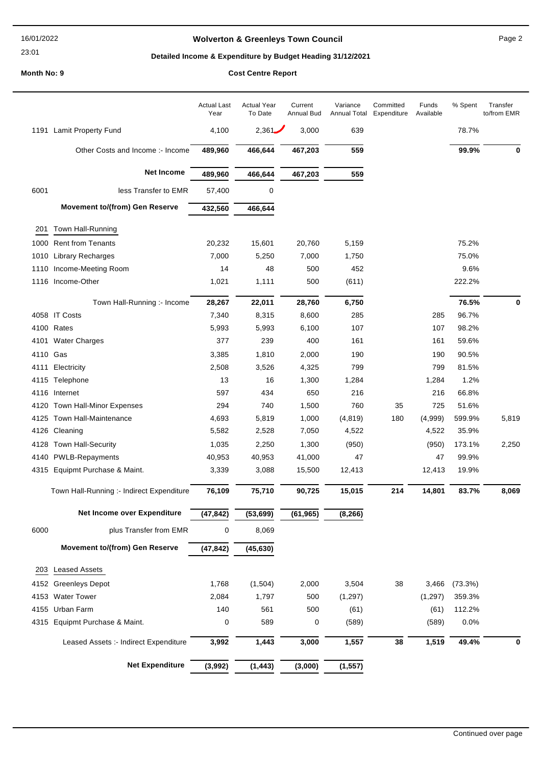#### 16/01/2022

23:01

# Wolverton & Greenleys Town Council **Page 2** Page 2

# Detailed Income & Expenditure by Budget Heading 31/12/2021

|          |                                           | <b>Actual Last</b><br>Year | <b>Actual Year</b><br>To Date | Current<br>Annual Bud | Variance<br><b>Annual Total</b> | Committed<br>Expenditure | Funds<br>Available | % Spent    | Transfer<br>to/from EMR |
|----------|-------------------------------------------|----------------------------|-------------------------------|-----------------------|---------------------------------|--------------------------|--------------------|------------|-------------------------|
| 1191     | Lamit Property Fund                       | 4,100                      | 2,361.                        | 3,000                 | 639                             |                          |                    | 78.7%      |                         |
|          | Other Costs and Income :- Income          | 489,960                    | 466,644                       | 467,203               | 559                             |                          |                    | 99.9%      | 0                       |
|          | Net Income                                | 489,960                    | 466,644                       | 467,203               | 559                             |                          |                    |            |                         |
| 6001     | less Transfer to EMR                      | 57,400                     | 0                             |                       |                                 |                          |                    |            |                         |
|          | Movement to/(from) Gen Reserve            | 432,560                    | 466,644                       |                       |                                 |                          |                    |            |                         |
| 201      | Town Hall-Running                         |                            |                               |                       |                                 |                          |                    |            |                         |
| 1000     | <b>Rent from Tenants</b>                  | 20,232                     | 15,601                        | 20,760                | 5,159                           |                          |                    | 75.2%      |                         |
| 1010     | Library Recharges                         | 7,000                      | 5,250                         | 7,000                 | 1,750                           |                          |                    | 75.0%      |                         |
| 1110     | Income-Meeting Room                       | 14                         | 48                            | 500                   | 452                             |                          |                    | 9.6%       |                         |
| 1116     | Income-Other                              | 1,021                      | 1,111                         | 500                   | (611)                           |                          |                    | 222.2%     |                         |
|          |                                           |                            |                               |                       |                                 |                          |                    |            |                         |
|          | Town Hall-Running :- Income               | 28,267                     | 22,011                        | 28,760                | 6,750                           |                          |                    | 76.5%      | 0                       |
| 4058     | <b>IT Costs</b>                           | 7,340                      | 8,315                         | 8,600                 | 285                             |                          | 285                | 96.7%      |                         |
|          | 4100 Rates                                | 5,993                      | 5,993                         | 6,100                 | 107                             |                          | 107                | 98.2%      |                         |
| 4101     | <b>Water Charges</b>                      | 377                        | 239                           | 400                   | 161                             |                          | 161                | 59.6%      |                         |
| 4110 Gas |                                           | 3,385                      | 1,810                         | 2,000                 | 190                             |                          | 190                | 90.5%      |                         |
| 4111     | Electricity                               | 2,508                      | 3,526                         | 4,325                 | 799                             |                          | 799                | 81.5%      |                         |
| 4115     | Telephone                                 | 13                         | 16                            | 1,300                 | 1,284                           |                          | 1,284              | 1.2%       |                         |
| 4116     | Internet                                  | 597                        | 434                           | 650                   | 216                             |                          | 216                | 66.8%      |                         |
| 4120     | Town Hall-Minor Expenses                  | 294                        | 740                           | 1,500                 | 760                             | 35                       | 725                | 51.6%      |                         |
| 4125     | Town Hall-Maintenance                     | 4,693                      | 5,819                         | 1,000                 | (4, 819)                        | 180                      | (4,999)            | 599.9%     | 5,819                   |
| 4126     | Cleaning                                  | 5,582                      | 2,528                         | 7,050                 | 4,522                           |                          | 4,522              | 35.9%      |                         |
| 4128     | Town Hall-Security                        | 1,035                      | 2,250                         | 1,300                 | (950)                           |                          | (950)              | 173.1%     | 2,250                   |
| 4140     | <b>PWLB-Repayments</b>                    | 40,953                     | 40,953                        | 41,000                | 47                              |                          | 47                 | 99.9%      |                         |
| 4315     | Equipmt Purchase & Maint.                 | 3,339                      | 3,088                         | 15,500                | 12,413                          |                          | 12,413             | 19.9%      |                         |
|          | Town Hall-Running :- Indirect Expenditure | 76,109                     | 75,710                        | 90,725                | 15,015                          | 214                      | 14,801             | 83.7%      | 8,069                   |
|          | Net Income over Expenditure               | (47, 842)                  | (53, 699)                     | (61, 965)             | (8, 266)                        |                          |                    |            |                         |
| 6000     | plus Transfer from EMR                    | 0                          | 8,069                         |                       |                                 |                          |                    |            |                         |
|          | Movement to/(from) Gen Reserve            | (47, 842)                  | (45, 630)                     |                       |                                 |                          |                    |            |                         |
| 203      | <b>Leased Assets</b>                      |                            |                               |                       |                                 |                          |                    |            |                         |
| 4152     | <b>Greenleys Depot</b>                    | 1,768                      | (1,504)                       | 2,000                 | 3,504                           | 38                       | 3,466              | $(73.3\%)$ |                         |
| 4153     | <b>Water Tower</b>                        | 2,084                      | 1,797                         | 500                   | (1, 297)                        |                          | (1, 297)           | 359.3%     |                         |
| 4155     | Urban Farm                                | 140                        | 561                           | 500                   | (61)                            |                          | (61)               | 112.2%     |                         |
| 4315     | Equipmt Purchase & Maint.                 | 0                          | 589                           | 0                     | (589)                           |                          | (589)              | 0.0%       |                         |
|          | Leased Assets :- Indirect Expenditure     | 3,992                      | 1,443                         | 3,000                 | 1,557                           | 38                       | 1,519              | 49.4%      | 0                       |
|          | Net Expenditure                           | (3,992)                    | (1, 443)                      | (3,000)               | (1, 557)                        |                          |                    |            |                         |
|          |                                           |                            |                               |                       |                                 |                          |                    |            |                         |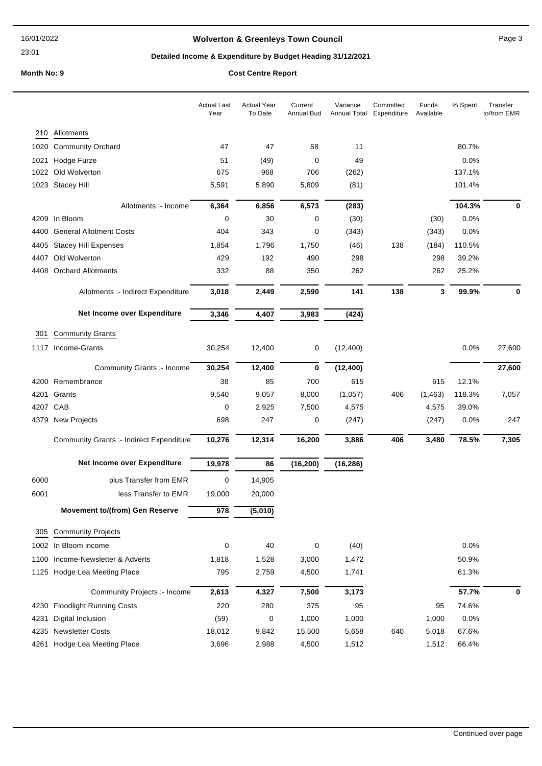23:01

# **Wolverton & Greenleys Town Council** Magness Council Page 3

# **Detailed Income & Expenditure by Budget Heading 31/12/2021**

|      |                                                 | <b>Actual Last</b><br>Year | <b>Actual Year</b><br>To Date | Current<br><b>Annual Bud</b> | Variance<br>Annual Total | Committed<br>Expenditure | Funds<br>Available | % Spent | Transfer<br>to/from EMR |
|------|-------------------------------------------------|----------------------------|-------------------------------|------------------------------|--------------------------|--------------------------|--------------------|---------|-------------------------|
| 210  | Allotments                                      |                            |                               |                              |                          |                          |                    |         |                         |
| 1020 | <b>Community Orchard</b>                        | 47                         | 47                            | 58                           | 11                       |                          |                    | 80.7%   |                         |
| 1021 | Hodge Furze                                     | 51                         | (49)                          | 0                            | 49                       |                          |                    | 0.0%    |                         |
| 1022 | Old Wolverton                                   | 675                        | 968                           | 706                          | (262)                    |                          |                    | 137.1%  |                         |
|      | 1023 Stacey Hill                                | 5,591                      | 5,890                         | 5,809                        | (81)                     |                          |                    | 101.4%  |                         |
|      | Allotments :- Income                            | 6,364                      | 6,856                         | 6,573                        | (283)                    |                          |                    | 104.3%  | 0                       |
|      | 4209 In Bloom                                   | $\mathbf 0$                | 30                            | 0                            | (30)                     |                          | (30)               | 0.0%    |                         |
| 4400 | <b>General Allotment Costs</b>                  | 404                        | 343                           | 0                            | (343)                    |                          | (343)              | 0.0%    |                         |
| 4405 | <b>Stacey Hill Expenses</b>                     | 1,854                      | 1,796                         | 1,750                        | (46)                     | 138                      | (184)              | 110.5%  |                         |
| 4407 | Old Wolverton                                   | 429                        | 192                           | 490                          | 298                      |                          | 298                | 39.2%   |                         |
| 4408 | <b>Orchard Allotments</b>                       | 332                        | 88                            | 350                          | 262                      |                          | 262                | 25.2%   |                         |
|      | Allotments :- Indirect Expenditure              | 3,018                      | 2,449                         | 2,590                        | 141                      | 138                      | 3                  | 99.9%   | 0                       |
|      | Net Income over Expenditure                     | 3,346                      | 4,407                         | 3,983                        | (424)                    |                          |                    |         |                         |
| 301  | <b>Community Grants</b>                         |                            |                               |                              |                          |                          |                    |         |                         |
|      | 1117 Income-Grants                              | 30,254                     | 12,400                        | 0                            | (12, 400)                |                          |                    | 0.0%    | 27,600                  |
|      | Community Grants :- Income                      | 30,254                     | 12,400                        | 0                            | (12, 400)                |                          |                    |         | 27,600                  |
|      | 4200 Remembrance                                | 38                         | 85                            | 700                          | 615                      |                          | 615                | 12.1%   |                         |
| 4201 | Grants                                          | 9,540                      | 9,057                         | 8,000                        | (1,057)                  | 406                      | (1, 463)           | 118.3%  | 7,057                   |
|      | 4207 CAB                                        | 0                          | 2,925                         | 7,500                        | 4,575                    |                          | 4,575              | 39.0%   |                         |
| 4379 | New Projects                                    | 698                        | 247                           | 0                            | (247)                    |                          | (247)              | 0.0%    | 247                     |
|      | <b>Community Grants :- Indirect Expenditure</b> | 10,276                     | 12,314                        | 16,200                       | 3,886                    | 406                      | 3,480              | 78.5%   | 7,305                   |
|      | Net Income over Expenditure                     | 19,978                     | 86                            | (16, 200)                    | (16, 286)                |                          |                    |         |                         |
| 6000 | plus Transfer from EMR                          | 0                          | 14,905                        |                              |                          |                          |                    |         |                         |
| 6001 | less Transfer to EMR                            | 19,000                     | 20,000                        |                              |                          |                          |                    |         |                         |
|      | <b>Movement to/(from) Gen Reserve</b>           | $\overline{978}$           | (5,010)                       |                              |                          |                          |                    |         |                         |
| 305  | <b>Community Projects</b>                       |                            |                               |                              |                          |                          |                    |         |                         |
|      | 1002 In Bloom income                            | 0                          | 40                            | 0                            | (40)                     |                          |                    | 0.0%    |                         |
| 1100 | Income-Newsletter & Adverts                     | 1,818                      | 1,528                         | 3,000                        | 1,472                    |                          |                    | 50.9%   |                         |
|      | 1125 Hodge Lea Meeting Place                    | 795                        | 2,759                         | 4,500                        | 1,741                    |                          |                    | 61.3%   |                         |
|      | Community Projects :- Income                    | 2,613                      | 4,327                         | 7,500                        | 3,173                    |                          |                    | 57.7%   | 0                       |
|      | 4230 Floodlight Running Costs                   | 220                        | 280                           | 375                          | 95                       |                          | 95                 | 74.6%   |                         |
| 4231 | Digital Inclusion                               | (59)                       | 0                             | 1,000                        | 1,000                    |                          | 1,000              | 0.0%    |                         |
| 4235 | <b>Newsletter Costs</b>                         | 18,012                     | 9,842                         | 15,500                       | 5,658                    | 640                      | 5,018              | 67.6%   |                         |
| 4261 | Hodge Lea Meeting Place                         | 3,696                      | 2,988                         | 4,500                        | 1,512                    |                          | 1,512              | 66.4%   |                         |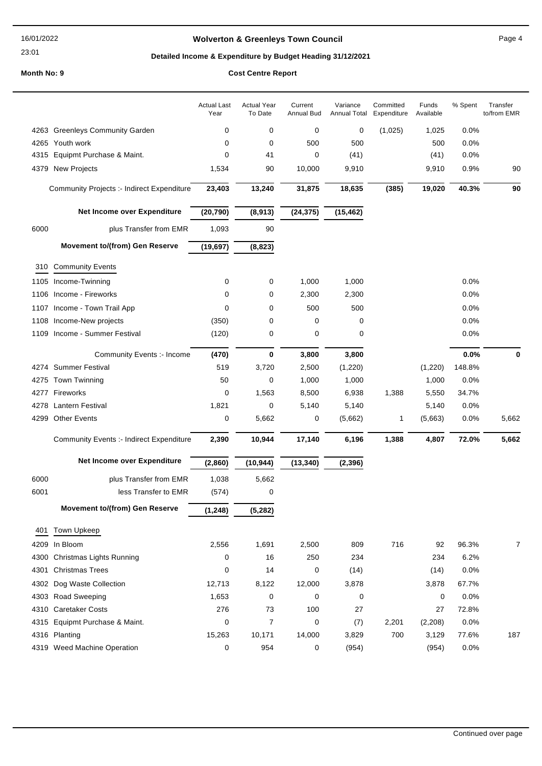#### 16/01/2022

23:01

# **Wolverton & Greenleys Town Council** Magnetic Page 4

# **Detailed Income & Expenditure by Budget Heading 31/12/2021**

|      |                                                   | <b>Actual Last</b><br>Year | <b>Actual Year</b><br>To Date | Current<br>Annual Bud | Variance<br>Annual Total | Committed<br>Expenditure | Funds<br>Available | % Spent | Transfer<br>to/from EMR |
|------|---------------------------------------------------|----------------------------|-------------------------------|-----------------------|--------------------------|--------------------------|--------------------|---------|-------------------------|
|      | 4263 Greenleys Community Garden                   | 0                          | 0                             | 0                     | 0                        | (1,025)                  | 1,025              | 0.0%    |                         |
|      | 4265 Youth work                                   | 0                          | 0                             | 500                   | 500                      |                          | 500                | 0.0%    |                         |
| 4315 | Equipmt Purchase & Maint.                         | 0                          | 41                            | 0                     | (41)                     |                          | (41)               | 0.0%    |                         |
| 4379 | <b>New Projects</b>                               | 1,534                      | 90                            | 10,000                | 9,910                    |                          | 9,910              | 0.9%    | 90                      |
|      | <b>Community Projects :- Indirect Expenditure</b> | 23,403                     | 13,240                        | 31,875                | 18,635                   | (385)                    | 19,020             | 40.3%   | 90                      |
|      | Net Income over Expenditure                       | (20, 790)                  | (8,913)                       | (24, 375)             | (15, 462)                |                          |                    |         |                         |
| 6000 | plus Transfer from EMR                            | 1,093                      | 90                            |                       |                          |                          |                    |         |                         |
|      | <b>Movement to/(from) Gen Reserve</b>             | (19, 697)                  | (8, 823)                      |                       |                          |                          |                    |         |                         |
|      | 310 Community Events                              |                            |                               |                       |                          |                          |                    |         |                         |
| 1105 | Income-Twinning                                   | 0                          | 0                             | 1,000                 | 1,000                    |                          |                    | 0.0%    |                         |
| 1106 | Income - Fireworks                                | 0                          | 0                             | 2,300                 | 2,300                    |                          |                    | 0.0%    |                         |
| 1107 | Income - Town Trail App                           | 0                          | 0                             | 500                   | 500                      |                          |                    | 0.0%    |                         |
| 1108 | Income-New projects                               | (350)                      | 0                             | 0                     | 0                        |                          |                    | 0.0%    |                         |
| 1109 | Income - Summer Festival                          | (120)                      | 0                             | 0                     | 0                        |                          |                    | 0.0%    |                         |
|      | Community Events :- Income                        | (470)                      | 0                             | 3,800                 | 3,800                    |                          |                    | 0.0%    | 0                       |
|      | 4274 Summer Festival                              | 519                        | 3,720                         | 2,500                 | (1,220)                  |                          | (1,220)            | 148.8%  |                         |
| 4275 | <b>Town Twinning</b>                              | 50                         | 0                             | 1,000                 | 1,000                    |                          | 1,000              | 0.0%    |                         |
|      | 4277 Fireworks                                    | 0                          | 1,563                         | 8,500                 | 6,938                    | 1,388                    | 5,550              | 34.7%   |                         |
| 4278 | <b>Lantern Festival</b>                           | 1,821                      | 0                             | 5,140                 | 5,140                    |                          | 5,140              | 0.0%    |                         |
| 4299 | <b>Other Events</b>                               | 0                          | 5,662                         | 0                     | (5,662)                  | 1                        | (5,663)            | 0.0%    | 5,662                   |
|      | <b>Community Events :- Indirect Expenditure</b>   | 2,390                      | 10,944                        | 17,140                | 6,196                    | 1,388                    | 4,807              | 72.0%   | 5,662                   |
|      | Net Income over Expenditure                       | (2,860)                    | (10, 944)                     | (13, 340)             | (2, 396)                 |                          |                    |         |                         |
| 6000 | plus Transfer from EMR                            | 1,038                      | 5,662                         |                       |                          |                          |                    |         |                         |
| 6001 | less Transfer to EMR                              | (574)                      | 0                             |                       |                          |                          |                    |         |                         |
|      | <b>Movement to/(from) Gen Reserve</b>             | (1, 248)                   | (5, 282)                      |                       |                          |                          |                    |         |                         |
| 401  | Town Upkeep                                       |                            |                               |                       |                          |                          |                    |         |                         |
| 4209 | In Bloom                                          | 2,556                      | 1,691                         | 2,500                 | 809                      | 716                      | 92                 | 96.3%   | 7                       |
| 4300 | Christmas Lights Running                          | 0                          | 16                            | 250                   | 234                      |                          | 234                | 6.2%    |                         |
| 4301 | <b>Christmas Trees</b>                            | 0                          | 14                            | 0                     | (14)                     |                          | (14)               | 0.0%    |                         |
| 4302 | Dog Waste Collection                              | 12,713                     | 8,122                         | 12,000                | 3,878                    |                          | 3,878              | 67.7%   |                         |
|      | 4303 Road Sweeping                                | 1,653                      | 0                             | 0                     | 0                        |                          | 0                  | 0.0%    |                         |
| 4310 | <b>Caretaker Costs</b>                            | 276                        | 73                            | 100                   | 27                       |                          | 27                 | 72.8%   |                         |
| 4315 | Equipmt Purchase & Maint.                         | $\pmb{0}$                  | $\overline{7}$                | 0                     | (7)                      | 2,201                    | (2,208)            | 0.0%    |                         |
|      | 4316 Planting                                     | 15,263                     | 10,171                        | 14,000                | 3,829                    | 700                      | 3,129              | 77.6%   | 187                     |
|      | 4319 Weed Machine Operation                       | 0                          | 954                           | 0                     | (954)                    |                          | (954)              | 0.0%    |                         |